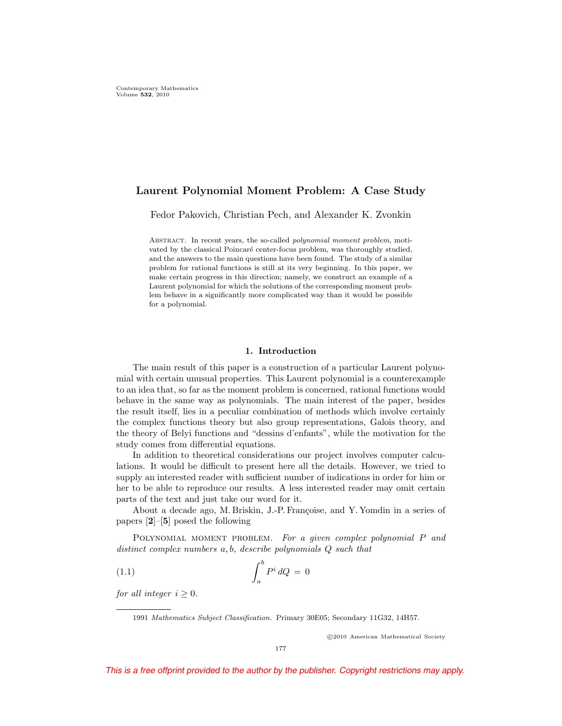# **Laurent Polynomial Moment Problem: A Case Study**

Fedor Pakovich, Christian Pech, and Alexander K. Zvonkin

ABSTRACT. In recent years, the so-called *polynomial moment problem*, motivated by the classical Poincaré center-focus problem, was thoroughly studied, and the answers to the main questions have been found. The study of a similar problem for rational functions is still at its very beginning. In this paper, we make certain progress in this direction; namely, we construct an example of a Laurent polynomial for which the solutions of the corresponding moment problem behave in a significantly more complicated way than it would be possible for a polynomial.

#### **1. Introduction**

The main result of this paper is a construction of a particular Laurent polynomial with certain unusual properties. This Laurent polynomial is a counterexample to an idea that, so far as the moment problem is concerned, rational functions would behave in the same way as polynomials. The main interest of the paper, besides the result itself, lies in a peculiar combination of methods which involve certainly the complex functions theory but also group representations, Galois theory, and the theory of Belyi functions and "dessins d'enfants", while the motivation for the study comes from differential equations.

In addition to theoretical considerations our project involves computer calculations. It would be difficult to present here all the details. However, we tried to supply an interested reader with sufficient number of indications in order for him or her to be able to reproduce our results. A less interested reader may omit certain parts of the text and just take our word for it.

About a decade ago, M. Briskin, J.-P. Françoise, and Y. Yomdin in a series of papers [**2**]–[**5**] posed the following

POLYNOMIAL MOMENT PROBLEM. For a given complex polynomial P and distinct complex numbers a, b, describe polynomials Q such that

$$
\int_{a}^{b} P^{i} dQ = 0
$$

for all integer  $i \geq 0$ .

©2010 American Mathematical Society

<sup>1991</sup> Mathematics Subject Classification. Primary 30E05; Secondary 11G32, 14H57.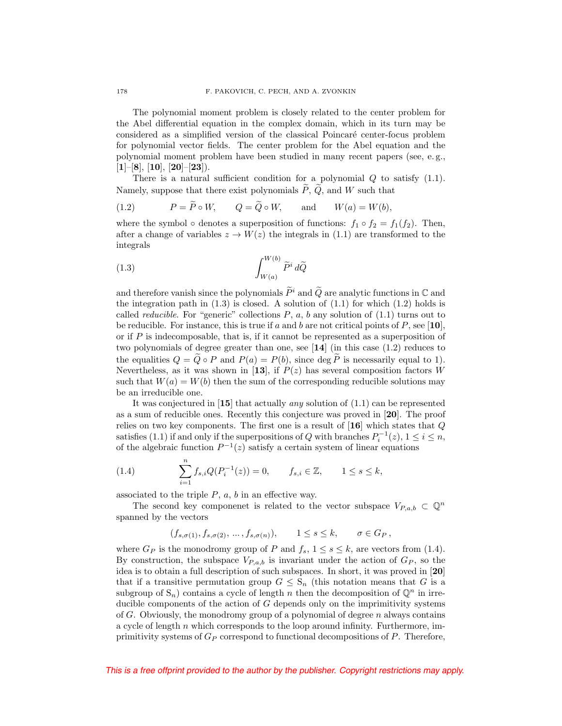The polynomial moment problem is closely related to the center problem for the Abel differential equation in the complex domain, which in its turn may be considered as a simplified version of the classical Poincaré center-focus problem for polynomial vector fields. The center problem for the Abel equation and the polynomial moment problem have been studied in many recent papers (see, e. g., [**1**]–[**8**], [**10**], [**20**]–[**23**]).

There is a natural sufficient condition for a polynomial  $Q$  to satisfy  $(1.1)$ . Namely, suppose that there exist polynomials  $\tilde{P}$ ,  $\tilde{Q}$ , and W such that

(1.2) 
$$
P = \tilde{P} \circ W
$$
,  $Q = \tilde{Q} \circ W$ , and  $W(a) = W(b)$ ,

where the symbol ◦ denotes a superposition of functions:  $f_1 \circ f_2 = f_1(f_2)$ . Then, after a change of variables  $z \to W(z)$  the integrals in (1.1) are transformed to the integrals

$$
\int_{W(a)}^{W(b)} \widetilde{P}^i \, d\widetilde{Q}
$$

and therefore vanish since the polynomials  $\widetilde{P}^i$  and  $\widetilde{Q}$  are analytic functions in  $\mathbb C$  and the integration path in  $(1.3)$  is closed. A solution of  $(1.1)$  for which  $(1.2)$  holds is called *reducible*. For "generic" collections  $P$ ,  $a$ ,  $b$  any solution of  $(1.1)$  turns out to be reducible. For instance, this is true if a and b are not critical points of  $P$ , see [10], or if  $P$  is indecomposable, that is, if it cannot be represented as a superposition of two polynomials of degree greater than one, see [**14**] (in this case (1.2) reduces to the equalities  $Q = \tilde{Q} \circ P$  and  $P(a) = P(b)$ , since  $\deg \tilde{P}$  is necessarily equal to 1). Nevertheless, as it was shown in [**13**], if  $P(z)$  has several composition factors W such that  $W(a) = W(b)$  then the sum of the corresponding reducible solutions may be an irreducible one.

It was conjectured in [**15**] that actually any solution of (1.1) can be represented as a sum of reducible ones. Recently this conjecture was proved in [**20**]. The proof relies on two key components. The first one is a result of [**16**] which states that Q satisfies (1.1) if and only if the superpositions of Q with branches  $P_i^{-1}(z)$ ,  $1 \le i \le n$ , of the algebraic function  $P^{-1}(z)$  satisfy a certain system of linear equations

(1.4) 
$$
\sum_{i=1}^{n} f_{s,i} Q(P_i^{-1}(z)) = 0, \qquad f_{s,i} \in \mathbb{Z}, \qquad 1 \le s \le k,
$$

associated to the triple  $P$ ,  $a$ ,  $b$  in an effective way.

The second key componenet is related to the vector subspace  $V_{P,a,b} \subset \mathbb{Q}^n$ spanned by the vectors

$$
(f_{s,\sigma(1)}, f_{s,\sigma(2)}, \ldots, f_{s,\sigma(n)}), \qquad 1 \le s \le k, \qquad \sigma \in G_P,
$$

where  $G_P$  is the monodromy group of P and  $f_s$ ,  $1 \leq s \leq k$ , are vectors from (1.4). By construction, the subspace  $V_{P,a,b}$  is invariant under the action of  $G_P$ , so the idea is to obtain a full description of such subspaces. In short, it was proved in [**20**] that if a transitive permutation group  $G \leq S_n$  (this notation means that G is a subgroup of  $S_n$ ) contains a cycle of length n then the decomposition of  $\mathbb{Q}^n$  in irreducible components of the action of G depends only on the imprimitivity systems of  $G$ . Obviously, the monodromy group of a polynomial of degree  $n$  always contains a cycle of length  $n$  which corresponds to the loop around infinity. Furthermore, imprimitivity systems of  $G_P$  correspond to functional decompositions of  $P$ . Therefore,

178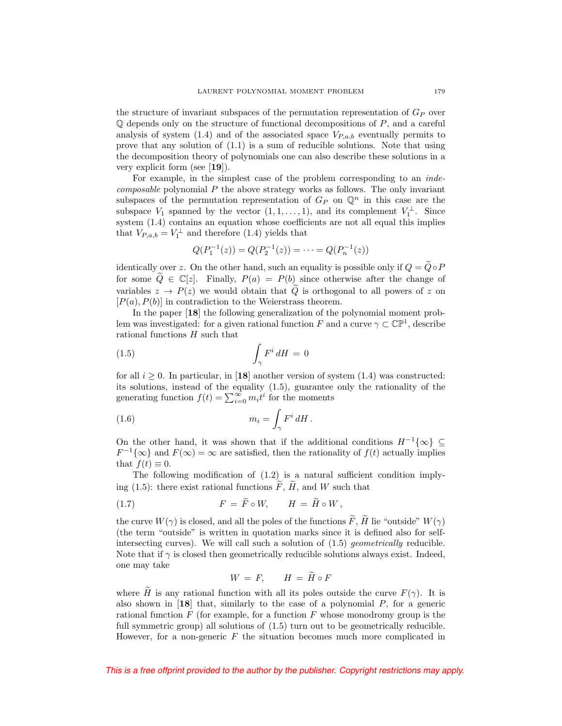the structure of invariant subspaces of the permutation representation of  $G_P$  over  $\mathbb Q$  depends only on the structure of functional decompositions of  $P$ , and a careful analysis of system (1.4) and of the associated space  $V_{P,a,b}$  eventually permits to prove that any solution of (1.1) is a sum of reducible solutions. Note that using the decomposition theory of polynomials one can also describe these solutions in a very explicit form (see [**19**]).

For example, in the simplest case of the problem corresponding to an *inde* $composable$  polynomial  $P$  the above strategy works as follows. The only invariant subspaces of the permutation representation of  $G_P$  on  $\mathbb{Q}^n$  in this case are the subspace  $V_1$  spanned by the vector  $(1, 1, \ldots, 1)$ , and its complement  $V_1^{\perp}$ . Since system (1.4) contains an equation whose coefficients are not all equal this implies that  $V_{P,a,b} = V_1^{\perp}$  and therefore (1.4) yields that

$$
Q(P_1^{-1}(z)) = Q(P_2^{-1}(z)) = \dots = Q(P_n^{-1}(z))
$$

identically over z. On the other hand, such an equality is possible only if  $Q = \widetilde{Q} \circ P$ for some  $\tilde{Q} \in \mathbb{C}[z]$ . Finally,  $P(a) = P(b)$  since otherwise after the change of variables  $z \to P(z)$  we would obtain that Q is orthogonal to all powers of z on  $[P(a), P(b)]$  in contradiction to the Weierstrass theorem.

In the paper [**18**] the following generalization of the polynomial moment problem was investigated: for a given rational function F and a curve  $\gamma \subset \mathbb{CP}^1$ , describe rational functions H such that

$$
\int_{\gamma} F^i \, dH = 0
$$

for all  $i \geq 0$ . In particular, in [18] another version of system (1.4) was constructed: its solutions, instead of the equality (1.5), guarantee only the rationality of the generating function  $f(t) = \sum_{i=0}^{\infty} m_i t^i$  for the moments

(1.6) 
$$
m_i = \int_{\gamma} F^i dH.
$$

On the other hand, it was shown that if the additional conditions  $H^{-1}\{\infty\}\subseteq$  $F^{-1}\{\infty\}$  and  $F(\infty) = \infty$  are satisfied, then the rationality of  $f(t)$  actually implies that  $f(t) \equiv 0$ .

The following modification of  $(1.2)$  is a natural sufficient condition implying (1.5): there exist rational functions  $\tilde{F}$ ,  $\tilde{H}$ , and W such that

$$
(1.7) \t\t\t F = F \circ W, \t H = H \circ W,
$$

the curve  $W(\gamma)$  is closed, and all the poles of the functions  $\widetilde{F}$ ,  $\widetilde{H}$  lie "outside"  $W(\gamma)$ (the term "outside" is written in quotation marks since it is defined also for selfintersecting curves). We will call such a solution of  $(1.5)$  geometrically reducible. Note that if  $\gamma$  is closed then geometrically reducible solutions always exist. Indeed, one may take

$$
W = F, \qquad H = \widetilde{H} \circ F
$$

where H is any rational function with all its poles outside the curve  $F(\gamma)$ . It is also shown in [**18**] that, similarly to the case of a polynomial P, for a generic rational function  $F$  (for example, for a function  $F$  whose monodromy group is the full symmetric group) all solutions of (1.5) turn out to be geometrically reducible. However, for a non-generic  $F$  the situation becomes much more complicated in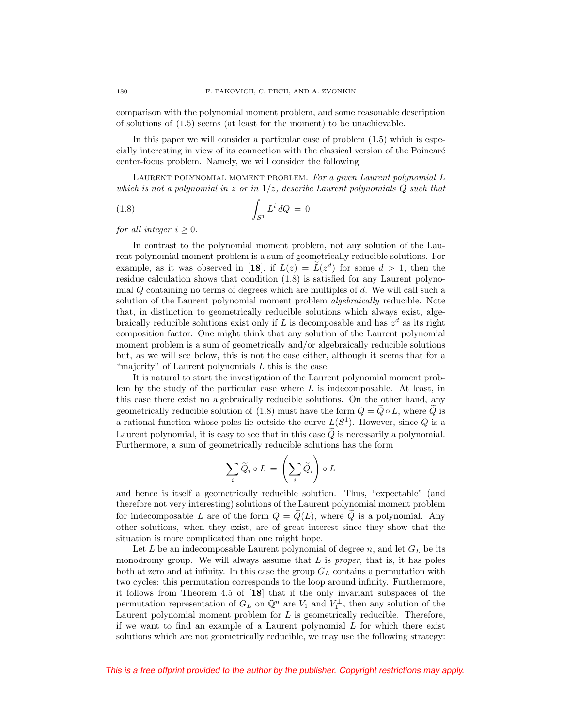comparison with the polynomial moment problem, and some reasonable description of solutions of (1.5) seems (at least for the moment) to be unachievable.

In this paper we will consider a particular case of problem (1.5) which is especially interesting in view of its connection with the classical version of the Poincar´e center-focus problem. Namely, we will consider the following

Laurent polynomial moment problem. For a given Laurent polynomial L which is not a polynomial in z or in  $1/z$ , describe Laurent polynomials Q such that

$$
\int_{S^1} L^i \, dQ = 0
$$

for all integer  $i \geq 0$ .

In contrast to the polynomial moment problem, not any solution of the Laurent polynomial moment problem is a sum of geometrically reducible solutions. For example, as it was observed in [18], if  $L(z) = \widetilde{L}(z^d)$  for some  $d > 1$ , then the residue calculation shows that condition (1.8) is satisfied for any Laurent polynomial  $Q$  containing no terms of degrees which are multiples of  $d$ . We will call such a solution of the Laurent polynomial moment problem *algebraically* reducible. Note that, in distinction to geometrically reducible solutions which always exist, algebraically reducible solutions exist only if L is decomposable and has  $z<sup>d</sup>$  as its right composition factor. One might think that any solution of the Laurent polynomial moment problem is a sum of geometrically and/or algebraically reducible solutions but, as we will see below, this is not the case either, although it seems that for a "majority" of Laurent polynomials  $L$  this is the case.

It is natural to start the investigation of the Laurent polynomial moment problem by the study of the particular case where  $L$  is indecomposable. At least, in this case there exist no algebraically reducible solutions. On the other hand, any geometrically reducible solution of (1.8) must have the form  $Q = \tilde{Q} \circ L$ , where  $\tilde{Q}$  is a rational function whose poles lie outside the curve  $L(S^1)$ . However, since Q is a Laurent polynomial, it is easy to see that in this case  $\tilde{Q}$  is necessarily a polynomial. Furthermore, a sum of geometrically reducible solutions has the form

$$
\sum_i \widetilde{Q}_i \circ L = \left(\sum_i \widetilde{Q}_i\right) \circ L
$$

and hence is itself a geometrically reducible solution. Thus, "expectable" (and therefore not very interesting) solutions of the Laurent polynomial moment problem for indecomposable L are of the form  $Q = \tilde{Q}(L)$ , where  $\tilde{Q}$  is a polynomial. Any other solutions, when they exist, are of great interest since they show that the situation is more complicated than one might hope.

Let  $L$  be an indecomposable Laurent polynomial of degree  $n$ , and let  $G_L$  be its monodromy group. We will always assume that  $L$  is *proper*, that is, it has poles both at zero and at infinity. In this case the group  $G_L$  contains a permutation with two cycles: this permutation corresponds to the loop around infinity. Furthermore, it follows from Theorem 4.5 of [**18**] that if the only invariant subspaces of the permutation representation of  $G_L$  on  $\mathbb{Q}^n$  are  $V_1$  and  $V_1^{\perp}$ , then any solution of the Laurent polynomial moment problem for  $L$  is geometrically reducible. Therefore, if we want to find an example of a Laurent polynomial  $L$  for which there exist solutions which are not geometrically reducible, we may use the following strategy:

180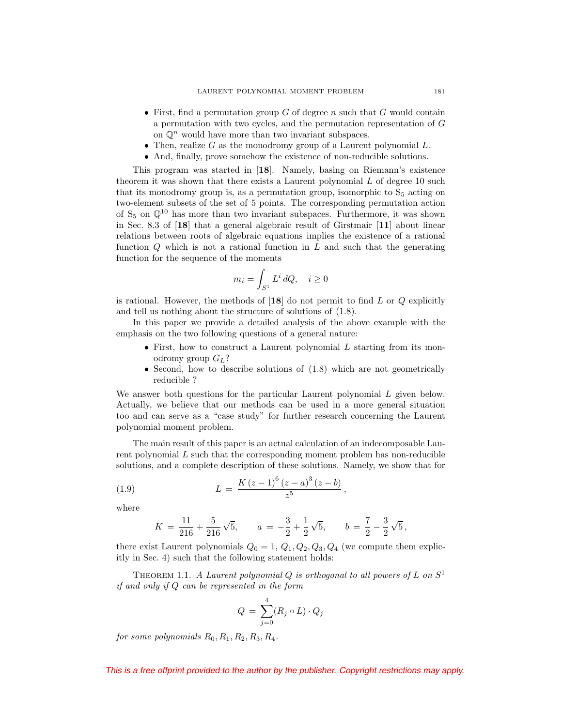- First, find a permutation group  $G$  of degree n such that  $G$  would contain a permutation with two cycles, and the permutation representation of G on  $\mathbb{Q}^n$  would have more than two invariant subspaces.
- Then, realize  $G$  as the monodromy group of a Laurent polynomial  $L$ .
- And, finally, prove somehow the existence of non-reducible solutions.

This program was started in [**18**]. Namely, basing on Riemann's existence theorem it was shown that there exists a Laurent polynomial  $L$  of degree 10 such that its monodromy group is, as a permutation group, isomorphic to  $S<sub>5</sub>$  acting on two-element subsets of the set of 5 points. The corresponding permutation action of  $S_5$  on  $\mathbb{Q}^{10}$  has more than two invariant subspaces. Furthermore, it was shown in Sec. 8.3 of [**18**] that a general algebraic result of Girstmair [**11**] about linear relations between roots of algebraic equations implies the existence of a rational function  $Q$  which is not a rational function in  $L$  and such that the generating function for the sequence of the moments

$$
m_i = \int_{S^1} L^i \, dQ, \quad i \ge 0
$$

is rational. However, the methods of  $[18]$  do not permit to find L or  $Q$  explicitly and tell us nothing about the structure of solutions of (1.8).

In this paper we provide a detailed analysis of the above example with the emphasis on the two following questions of a general nature:

- First, how to construct a Laurent polynomial L starting from its monodromy group  $G_L$ ?
- Second, how to describe solutions of  $(1.8)$  which are not geometrically reducible ?

We answer both questions for the particular Laurent polynomial L given below. Actually, we believe that our methods can be used in a more general situation too and can serve as a "case study" for further research concerning the Laurent polynomial moment problem.

The main result of this paper is an actual calculation of an indecomposable Laurent polynomial L such that the corresponding moment problem has non-reducible solutions, and a complete description of these solutions. Namely, we show that for

(1.9) 
$$
L = \frac{K(z-1)^6(z-a)^3(z-b)}{z^5},
$$

where

$$
K = \frac{11}{216} + \frac{5}{216}\sqrt{5}, \qquad a = -\frac{3}{2} + \frac{1}{2}\sqrt{5}, \qquad b = \frac{7}{2} - \frac{3}{2}\sqrt{5},
$$

there exist Laurent polynomials  $Q_0 = 1, Q_1, Q_2, Q_3, Q_4$  (we compute them explicitly in Sec. 4) such that the following statement holds:

THEOREM 1.1. A Laurent polynomial Q is orthogonal to all powers of L on  $S<sup>1</sup>$ if and only if Q can be represented in the form

$$
Q = \sum_{j=0}^{4} (R_j \circ L) \cdot Q_j
$$

for some polynomials  $R_0, R_1, R_2, R_3, R_4$ .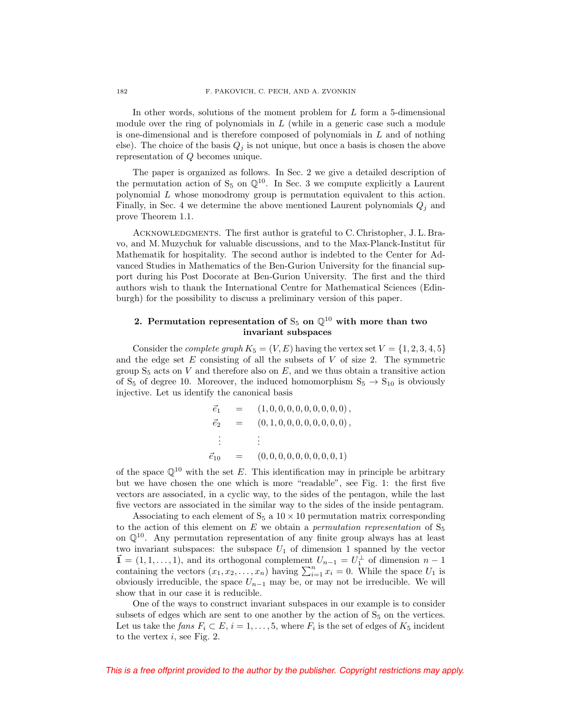In other words, solutions of the moment problem for L form a 5-dimensional module over the ring of polynomials in  $L$  (while in a generic case such a module is one-dimensional and is therefore composed of polynomials in L and of nothing else). The choice of the basis  $Q_j$  is not unique, but once a basis is chosen the above representation of Q becomes unique.

The paper is organized as follows. In Sec. 2 we give a detailed description of the permutation action of  $S_5$  on  $\mathbb{Q}^{10}$ . In Sec. 3 we compute explicitly a Laurent polynomial L whose monodromy group is permutation equivalent to this action. Finally, in Sec. 4 we determine the above mentioned Laurent polynomials  $Q_i$  and prove Theorem 1.1.

Acknowledgments. The first author is grateful to C. Christopher, J. L. Bravo, and M. Muzychuk for valuable discussions, and to the Max-Planck-Institut für Mathematik for hospitality. The second author is indebted to the Center for Advanced Studies in Mathematics of the Ben-Gurion University for the financial support during his Post Docorate at Ben-Gurion University. The first and the third authors wish to thank the International Centre for Mathematical Sciences (Edinburgh) for the possibility to discuss a preliminary version of this paper.

# **2. Permutation representation of**  $S_5$  on  $\mathbb{Q}^{10}$  with more than two **invariant subspaces**

Consider the *complete graph*  $K_5 = (V, E)$  having the vertex set  $V = \{1, 2, 3, 4, 5\}$ and the edge set  $E$  consisting of all the subsets of  $V$  of size 2. The symmetric group  $S_5$  acts on V and therefore also on E, and we thus obtain a transitive action of  $S_5$  of degree 10. Moreover, the induced homomorphism  $S_5 \rightarrow S_{10}$  is obviously injective. Let us identify the canonical basis

$$
\begin{aligned}\n\vec{e}_1 &= (1, 0, 0, 0, 0, 0, 0, 0, 0, 0, 0), \\
\vec{e}_2 &= (0, 1, 0, 0, 0, 0, 0, 0, 0, 0), \\
\vdots &= (0, 0, 0, 0, 0, 0, 0, 0, 0, 1)\n\end{aligned}
$$

of the space  $\mathbb{Q}^{10}$  with the set E. This identification may in principle be arbitrary but we have chosen the one which is more "readable", see Fig. 1: the first five vectors are associated, in a cyclic way, to the sides of the pentagon, while the last five vectors are associated in the similar way to the sides of the inside pentagram.

Associating to each element of  $S_5$  a  $10 \times 10$  permutation matrix corresponding to the action of this element on  $E$  we obtain a *permutation representation* of  $S_5$ on  $\mathbb{Q}^{10}$ . Any permutation representation of any finite group always has at least two invariant subspaces: the subspace  $U_1$  of dimension 1 spanned by the vector  $\mathbf{I} = (1, 1, \ldots, 1)$ , and its orthogonal complement  $U_{n-1} = U_1^{\perp}$  of dimension  $n-1$ containing the vectors  $(x_1, x_2,...,x_n)$  having  $\sum_{i=1}^n x_i = 0$ . While the space  $U_1$  is obviously irreducible, the space  $U_{n-1}$  may be, or may not be irreducible. We will show that in our case it is reducible.

One of the ways to construct invariant subspaces in our example is to consider subsets of edges which are sent to one another by the action of  $S_5$  on the vertices. Let us take the *fans*  $F_i \subset E$ ,  $i = 1, \ldots, 5$ , where  $F_i$  is the set of edges of  $K_5$  incident to the vertex  $i$ , see Fig. 2.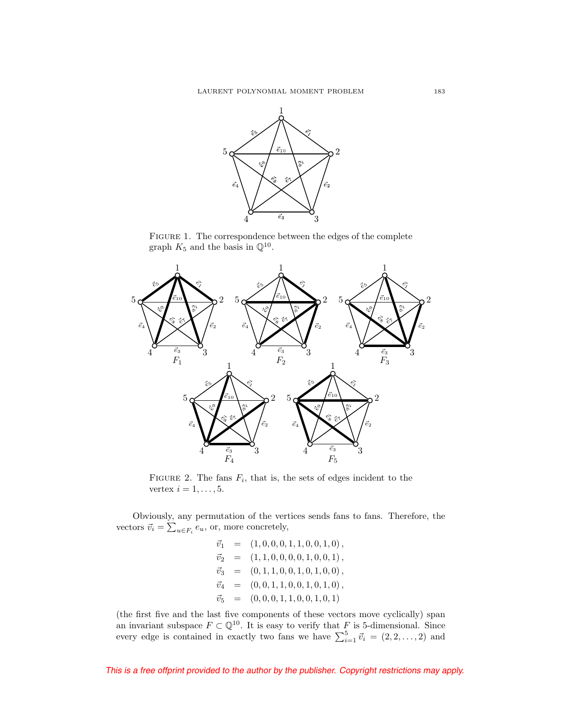

FIGURE 1. The correspondence between the edges of the complete graph  $K_5$  and the basis in  $\mathbb{Q}^{10}$ .



FIGURE 2. The fans  $F_i$ , that is, the sets of edges incident to the vertex  $i = 1, \ldots, 5$ .

Obviously, any permutation of the vertices sends fans to fans. Therefore, the vectors  $\vec{v}_i = \sum_{u \in F_i} e_u$ , or, more concretely,

> $\vec{v}_1 = (1, 0, 0, 0, 1, 1, 0, 0, 1, 0),$  $\vec{v}_2 = (1, 1, 0, 0, 0, 0, 1, 0, 0, 1),$  $\vec{v}_3 = (0, 1, 1, 0, 0, 1, 0, 1, 0, 0),$  $\vec{v}_4 = (0, 0, 1, 1, 0, 0, 1, 0, 1, 0),$  $\vec{v}_5 \quad = \quad (0,0,0,1,1,0,0,1,0,1)$

(the first five and the last five components of these vectors move cyclically) span an invariant subspace  $F \subset \mathbb{Q}^{10}$ . It is easy to verify that F is 5-dimensional. Since every edge is contained in exactly two fans we have  $\sum_{i=1}^{5} \vec{v}_i = (2, 2, \ldots, 2)$  and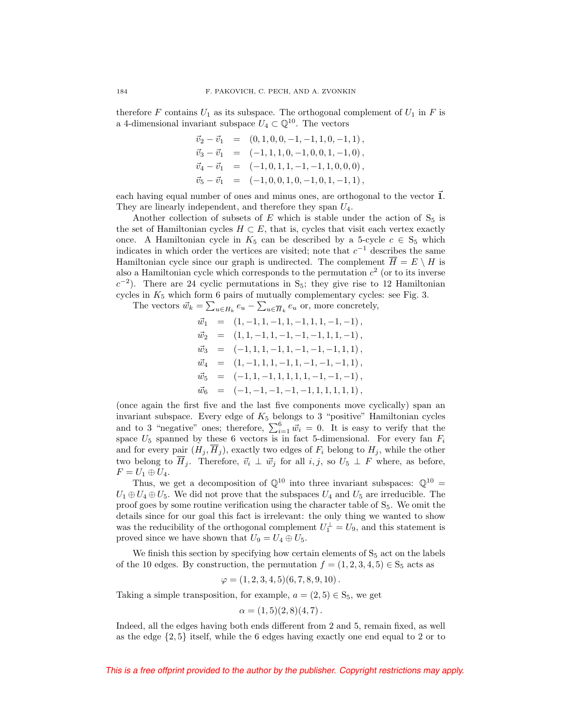therefore F contains  $U_1$  as its subspace. The orthogonal complement of  $U_1$  in F is a 4-dimensional invariant subspace  $U_4 \subset \mathbb{Q}^{10}$ . The vectors

$$
\vec{v}_2 - \vec{v}_1 = (0, 1, 0, 0, -1, -1, 1, 0, -1, 1),
$$
  
\n
$$
\vec{v}_3 - \vec{v}_1 = (-1, 1, 1, 0, -1, 0, 0, 1, -1, 0),
$$
  
\n
$$
\vec{v}_4 - \vec{v}_1 = (-1, 0, 1, 1, -1, -1, 1, 0, 0, 0),
$$
  
\n
$$
\vec{v}_5 - \vec{v}_1 = (-1, 0, 0, 1, 0, -1, 0, 1, -1, 1),
$$

each having equal number of ones and minus ones, are orthogonal to the vector  $\vec{1}$ . They are linearly independent, and therefore they span U4.

Another collection of subsets of  $E$  which is stable under the action of  $S_5$  is the set of Hamiltonian cycles  $H \subset E$ , that is, cycles that visit each vertex exactly once. A Hamiltonian cycle in  $K_5$  can be described by a 5-cycle  $c \in S_5$  which indicates in which order the vertices are visited; note that  $c^{-1}$  describes the same Hamiltonian cycle since our graph is undirected. The complement  $\overline{H} = E \setminus H$  is also a Hamiltonian cycle which corresponds to the permutation  $c<sup>2</sup>$  (or to its inverse  $c^{-2}$ ). There are 24 cyclic permutations in S<sub>5</sub>; they give rise to 12 Hamiltonian cycles in  $K_5$  which form 6 pairs of mutually complementary cycles: see Fig. 3.

The vectors  $\vec{w}_k = \sum_{u \in H_k} e_u - \sum_{u \in \overline{H}_k} e_u$  or, more concretely,

$$
\begin{array}{rcl}\n\vec{w}_1 & = & \left(1, -1, 1, -1, 1, -1, 1, 1, -1, -1\right), \\
\vec{w}_2 & = & \left(1, 1, -1, 1, -1, -1, -1, 1, 1, -1\right), \\
\vec{w}_3 & = & \left(-1, 1, 1, -1, 1, -1, -1, -1, 1, 1\right), \\
\vec{w}_4 & = & \left(1, -1, 1, 1, -1, 1, -1, -1, -1, 1\right), \\
\vec{w}_5 & = & \left(-1, 1, -1, 1, 1, 1, -1, -1, -1\right), \\
\vec{w}_6 & = & \left(-1, -1, -1, -1, -1, 1, 1, 1, 1, 1\right).\n\end{array}
$$

(once again the first five and the last five components move cyclically) span an invariant subspace. Every edge of  $K_5$  belongs to 3 "positive" Hamiltonian cycles and to 3 "negative" ones; therefore,  $\sum_{i=1}^{6} \vec{w}_i = 0$ . It is easy to verify that the space  $U_5$  spanned by these 6 vectors is in fact 5-dimensional. For every fan  $F_i$ and for every pair  $(H_j, \overline{H}_j)$ , exactly two edges of  $F_i$  belong to  $H_j$ , while the other two belong to  $\overline{H}_i$ . Therefore,  $\vec{v}_i \perp \vec{w}_j$  for all  $i, j$ , so  $U_5 \perp F$  where, as before,  $F = U_1 \oplus U_4.$ 

Thus, we get a decomposition of  $\mathbb{Q}^{10}$  into three invariant subspaces:  $\mathbb{Q}^{10}$  =  $U_1 \oplus U_4 \oplus U_5$ . We did not prove that the subspaces  $U_4$  and  $U_5$  are irreducible. The proof goes by some routine verification using the character table of  $S_5$ . We omit the details since for our goal this fact is irrelevant: the only thing we wanted to show was the reducibility of the orthogonal complement  $U_1^{\perp} = U_9$ , and this statement is proved since we have shown that  $U_9 = U_4 \oplus U_5$ .

We finish this section by specifying how certain elements of  $S<sub>5</sub>$  act on the labels of the 10 edges. By construction, the permutation  $f = (1, 2, 3, 4, 5) \in S_5$  acts as

$$
\varphi = (1, 2, 3, 4, 5)(6, 7, 8, 9, 10).
$$

Taking a simple transposition, for example,  $a = (2, 5) \in S_5$ , we get

$$
\alpha = (1,5)(2,8)(4,7).
$$

Indeed, all the edges having both ends different from 2 and 5, remain fixed, as well as the edge {2, 5} itself, while the 6 edges having exactly one end equal to 2 or to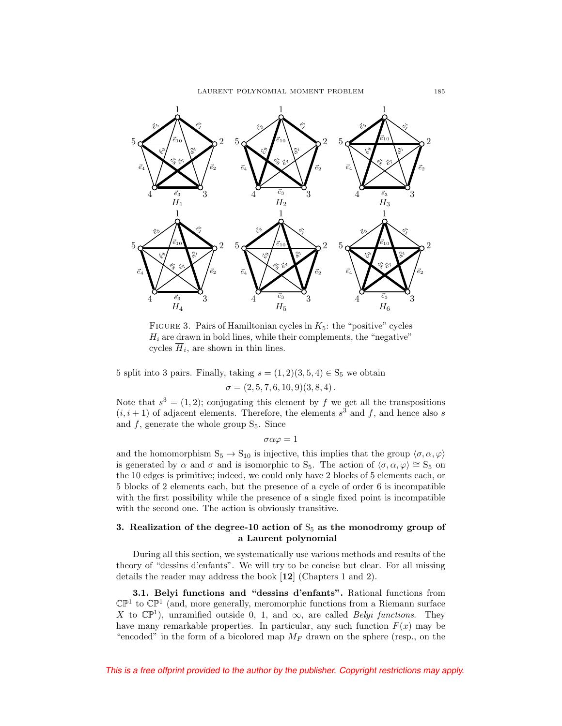

FIGURE 3. Pairs of Hamiltonian cycles in  $K_5$ : the "positive" cycles  $H_i$  are drawn in bold lines, while their complements, the "negative" cycles  $\overline{H}_i$ , are shown in thin lines.

5 split into 3 pairs. Finally, taking  $s = (1, 2)(3, 5, 4) \in S_5$  we obtain

$$
\sigma = (2, 5, 7, 6, 10, 9)(3, 8, 4).
$$

Note that  $s^3 = (1, 2)$ ; conjugating this element by f we get all the transpositions  $(i, i + 1)$  of adjacent elements. Therefore, the elements  $s<sup>3</sup>$  and f, and hence also s and  $f$ , generate the whole group  $S_5$ . Since

$$
\sigma \alpha \varphi = 1
$$

and the homomorphism  $S_5 \rightarrow S_{10}$  is injective, this implies that the group  $\langle \sigma, \alpha, \varphi \rangle$ is generated by  $\alpha$  and  $\sigma$  and is isomorphic to S<sub>5</sub>. The action of  $\langle \sigma, \alpha, \varphi \rangle \cong S_5$  on the 10 edges is primitive; indeed, we could only have 2 blocks of 5 elements each, or 5 blocks of 2 elements each, but the presence of a cycle of order 6 is incompatible with the first possibility while the presence of a single fixed point is incompatible with the second one. The action is obviously transitive.

## **3. Realization of the degree-10 action of**  $S_5$  as the monodromy group of **a Laurent polynomial**

During all this section, we systematically use various methods and results of the theory of "dessins d'enfants". We will try to be concise but clear. For all missing details the reader may address the book [**12**] (Chapters 1 and 2).

**3.1. Belyi functions and "dessins d'enfants".** Rational functions from  $\mathbb{CP}^1$  to  $\mathbb{CP}^1$  (and, more generally, meromorphic functions from a Riemann surface X to  $\mathbb{CP}^1$ ), unramified outside 0, 1, and  $\infty$ , are called *Belyi functions*. They have many remarkable properties. In particular, any such function  $F(x)$  may be "encoded" in the form of a bicolored map  $M_F$  drawn on the sphere (resp., on the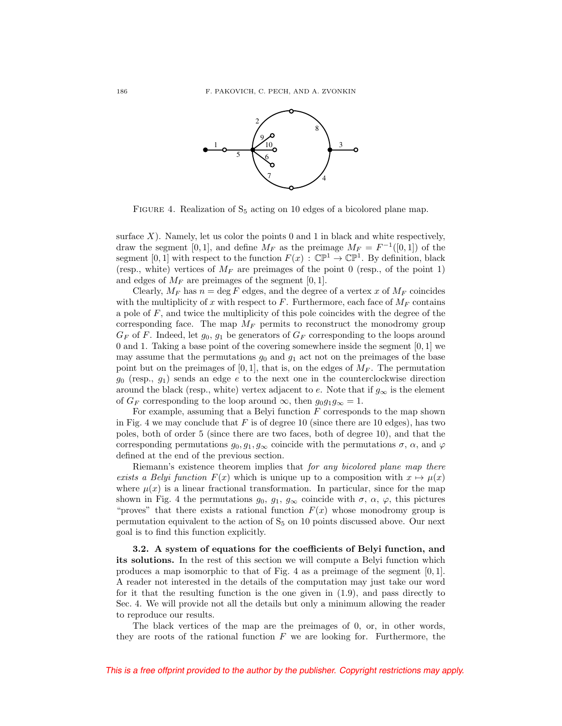

FIGURE 4. Realization of  $S_5$  acting on 10 edges of a bicolored plane map.

surface  $X$ ). Namely, let us color the points 0 and 1 in black and white respectively, draw the segment [0, 1], and define  $M_F$  as the preimage  $M_F = F^{-1}([0, 1])$  of the segment [0, 1] with respect to the function  $F(x) : \mathbb{CP}^1 \to \mathbb{CP}^1$ . By definition, black (resp., white) vertices of  $M_F$  are preimages of the point 0 (resp., of the point 1) and edges of  $M_F$  are preimages of the segment [0, 1].

Clearly,  $M_F$  has  $n = \deg F$  edges, and the degree of a vertex x of  $M_F$  coincides with the multiplicity of x with respect to F. Furthermore, each face of  $M_F$  contains a pole of F, and twice the multiplicity of this pole coincides with the degree of the corresponding face. The map  $M_F$  permits to reconstruct the monodromy group  $G_F$  of F. Indeed, let  $g_0, g_1$  be generators of  $G_F$  corresponding to the loops around 0 and 1. Taking a base point of the covering somewhere inside the segment  $[0, 1]$  we may assume that the permutations  $g_0$  and  $g_1$  act not on the preimages of the base point but on the preimages of  $[0, 1]$ , that is, on the edges of  $M_F$ . The permutation  $g_0$  (resp.,  $g_1$ ) sends an edge e to the next one in the counterclockwise direction around the black (resp., white) vertex adjacent to e. Note that if  $g_{\infty}$  is the element of  $G_F$  corresponding to the loop around  $\infty$ , then  $g_0g_1g_\infty = 1$ .

For example, assuming that a Belyi function  $F$  corresponds to the map shown in Fig. 4 we may conclude that  $F$  is of degree 10 (since there are 10 edges), has two poles, both of order 5 (since there are two faces, both of degree 10), and that the corresponding permutations  $g_0, g_1, g_\infty$  coincide with the permutations  $\sigma$ ,  $\alpha$ , and  $\varphi$ defined at the end of the previous section.

Riemann's existence theorem implies that for any bicolored plane map there exists a Belyi function  $F(x)$  which is unique up to a composition with  $x \mapsto \mu(x)$ where  $\mu(x)$  is a linear fractional transformation. In particular, since for the map shown in Fig. 4 the permutations  $g_0, g_1, g_\infty$  coincide with  $\sigma$ ,  $\alpha$ ,  $\varphi$ , this pictures "proves" that there exists a rational function  $F(x)$  whose monodromy group is permutation equivalent to the action of  $S_5$  on 10 points discussed above. Our next goal is to find this function explicitly.

**3.2. A system of equations for the coefficients of Belyi function, and its solutions.** In the rest of this section we will compute a Belyi function which produces a map isomorphic to that of Fig. 4 as a preimage of the segment [0, 1]. A reader not interested in the details of the computation may just take our word for it that the resulting function is the one given in (1.9), and pass directly to Sec. 4. We will provide not all the details but only a minimum allowing the reader to reproduce our results.

The black vertices of the map are the preimages of 0, or, in other words, they are roots of the rational function  $F$  we are looking for. Furthermore, the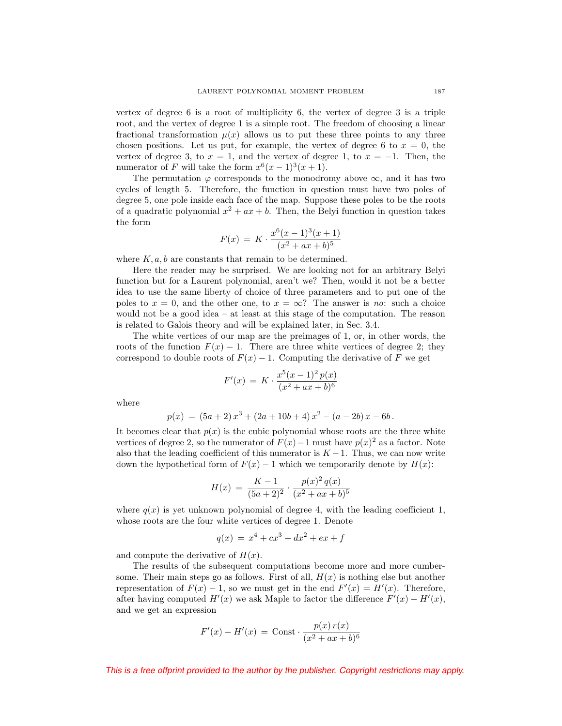vertex of degree 6 is a root of multiplicity 6, the vertex of degree 3 is a triple root, and the vertex of degree 1 is a simple root. The freedom of choosing a linear fractional transformation  $\mu(x)$  allows us to put these three points to any three chosen positions. Let us put, for example, the vertex of degree 6 to  $x = 0$ , the vertex of degree 3, to  $x = 1$ , and the vertex of degree 1, to  $x = -1$ . Then, the numerator of F will take the form  $x^6(x-1)^3(x+1)$ .

The permutation  $\varphi$  corresponds to the monodromy above  $\infty$ , and it has two cycles of length 5. Therefore, the function in question must have two poles of degree 5, one pole inside each face of the map. Suppose these poles to be the roots of a quadratic polynomial  $x^2 + ax + b$ . Then, the Belyi function in question takes the form

$$
F(x) = K \cdot \frac{x^6(x-1)^3(x+1)}{(x^2+ax+b)^5}
$$

where  $K, a, b$  are constants that remain to be determined.

Here the reader may be surprised. We are looking not for an arbitrary Belyi function but for a Laurent polynomial, aren't we? Then, would it not be a better idea to use the same liberty of choice of three parameters and to put one of the poles to  $x = 0$ , and the other one, to  $x = \infty$ ? The answer is no: such a choice would not be a good idea – at least at this stage of the computation. The reason is related to Galois theory and will be explained later, in Sec. 3.4.

The white vertices of our map are the preimages of 1, or, in other words, the roots of the function  $F(x) - 1$ . There are three white vertices of degree 2; they correspond to double roots of  $F(x) - 1$ . Computing the derivative of F we get

$$
F'(x) = K \cdot \frac{x^5(x-1)^2 p(x)}{(x^2 + ax + b)^6}
$$

where

$$
p(x) = (5a + 2) x3 + (2a + 10b + 4) x2 - (a - 2b) x - 6b.
$$

It becomes clear that  $p(x)$  is the cubic polynomial whose roots are the three white vertices of degree 2, so the numerator of  $F(x)-1$  must have  $p(x)^2$  as a factor. Note also that the leading coefficient of this numerator is  $K - 1$ . Thus, we can now write down the hypothetical form of  $F(x) - 1$  which we temporarily denote by  $H(x)$ :

$$
H(x) = \frac{K-1}{(5a+2)^2} \cdot \frac{p(x)^2 q(x)}{(x^2+ax+b)^5}
$$

where  $q(x)$  is yet unknown polynomial of degree 4, with the leading coefficient 1, whose roots are the four white vertices of degree 1. Denote

$$
q(x) = x^4 + cx^3 + dx^2 + ex + f
$$

and compute the derivative of  $H(x)$ .

The results of the subsequent computations become more and more cumbersome. Their main steps go as follows. First of all,  $H(x)$  is nothing else but another representation of  $F(x) - 1$ , so we must get in the end  $F'(x) = H'(x)$ . Therefore, after having computed  $H'(x)$  we ask Maple to factor the difference  $F'(x) - H'(x)$ , and we get an expression

$$
F'(x) - H'(x) = \text{Const} \cdot \frac{p(x) r(x)}{(x^2 + ax + b)^6}
$$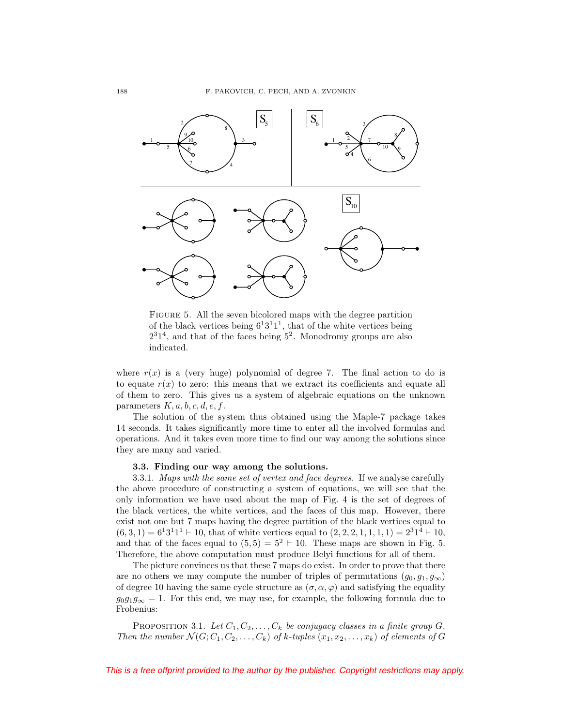

Figure 5. All the seven bicolored maps with the degree partition of the black vertices being  $6<sup>1</sup>3<sup>1</sup>1<sup>1</sup>$ , that of the white vertices being  $2<sup>3</sup>1<sup>4</sup>$ , and that of the faces being  $5<sup>2</sup>$ . Monodromy groups are also indicated.

where  $r(x)$  is a (very huge) polynomial of degree 7. The final action to do is to equate  $r(x)$  to zero: this means that we extract its coefficients and equate all of them to zero. This gives us a system of algebraic equations on the unknown parameters  $K, a, b, c, d, e, f$ .

The solution of the system thus obtained using the Maple-7 package takes 14 seconds. It takes significantly more time to enter all the involved formulas and operations. And it takes even more time to find our way among the solutions since they are many and varied.

#### **3.3. Finding our way among the solutions.**

3.3.1. Maps with the same set of vertex and face degrees. If we analyse carefully the above procedure of constructing a system of equations, we will see that the only information we have used about the map of Fig. 4 is the set of degrees of the black vertices, the white vertices, and the faces of this map. However, there exist not one but 7 maps having the degree partition of the black vertices equal to  $(6, 3, 1) = 6<sup>1</sup>3<sup>1</sup>1<sup>1</sup> + 10$ , that of white vertices equal to  $(2, 2, 2, 1, 1, 1, 1) = 2<sup>3</sup>1<sup>4</sup> + 10$ , and that of the faces equal to  $(5, 5) = 5^2 + 10$ . These maps are shown in Fig. 5. Therefore, the above computation must produce Belyi functions for all of them.

The picture convinces us that these 7 maps do exist. In order to prove that there are no others we may compute the number of triples of permutations  $(g_0, g_1, g_\infty)$ of degree 10 having the same cycle structure as  $(\sigma, \alpha, \varphi)$  and satisfying the equality  $g_0g_1g_\infty = 1$ . For this end, we may use, for example, the following formula due to Frobenius:

PROPOSITION 3.1. Let  $C_1, C_2, \ldots, C_k$  be conjugacy classes in a finite group G. Then the number  $\mathcal{N}(G; C_1, C_2, \ldots, C_k)$  of k-tuples  $(x_1, x_2, \ldots, x_k)$  of elements of G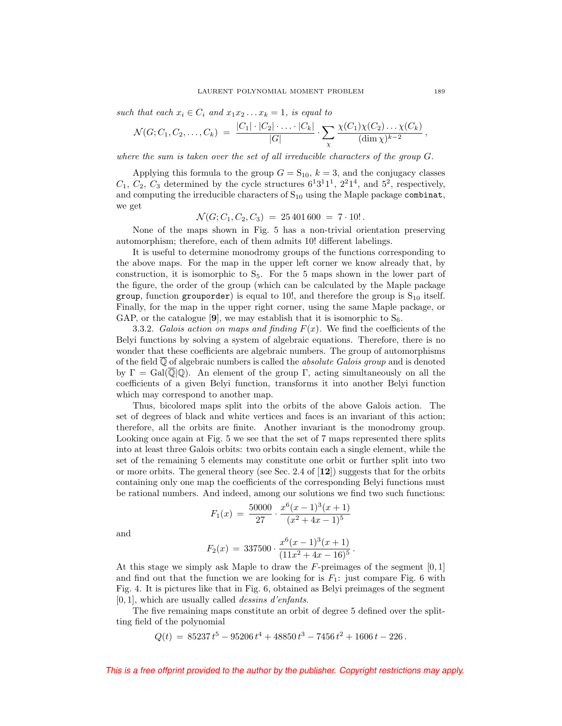such that each  $x_i \in C_i$  and  $x_1x_2...x_k = 1$ , is equal to

$$
\mathcal{N}(G; C_1, C_2, \ldots, C_k) = \frac{|C_1| \cdot |C_2| \cdot \ldots \cdot |C_k|}{|G|} \cdot \sum_{\chi} \frac{\chi(C_1) \chi(C_2) \ldots \chi(C_k)}{(\dim \chi)^{k-2}},
$$

where the sum is taken over the set of all irreducible characters of the group G.

Applying this formula to the group  $G = S_{10}$ ,  $k = 3$ , and the conjugacy classes  $C_1, C_2, C_3$  determined by the cycle structures  $6<sup>1</sup>3<sup>1</sup>1<sup>1</sup>, 2<sup>2</sup>1<sup>4</sup>,$  and  $5<sup>2</sup>$ , respectively, and computing the irreducible characters of  $S_{10}$  using the Maple package combinat, we get

 $\mathcal{N}(G; C_1, C_2, C_3) = 25\,401\,600 = 7 \cdot 10!$ .

None of the maps shown in Fig. 5 has a non-trivial orientation preserving automorphism; therefore, each of them admits 10! different labelings.

It is useful to determine monodromy groups of the functions corresponding to the above maps. For the map in the upper left corner we know already that, by construction, it is isomorphic to  $S_5$ . For the 5 maps shown in the lower part of the figure, the order of the group (which can be calculated by the Maple package group, function grouporder) is equal to 10!, and therefore the group is  $S_{10}$  itself. Finally, for the map in the upper right corner, using the same Maple package, or GAP, or the catalogue  $[9]$ , we may establish that it is isomorphic to  $S_6$ .

3.3.2. Galois action on maps and finding  $F(x)$ . We find the coefficients of the Belyi functions by solving a system of algebraic equations. Therefore, there is no wonder that these coefficients are algebraic numbers. The group of automorphisms of the field  $\overline{Q}$  of algebraic numbers is called the *absolute Galois group* and is denoted by  $\Gamma = \text{Gal}(\overline{\mathbb{Q}}|\mathbb{Q})$ . An element of the group  $\Gamma$ , acting simultaneously on all the coefficients of a given Belyi function, transforms it into another Belyi function which may correspond to another map.

Thus, bicolored maps split into the orbits of the above Galois action. The set of degrees of black and white vertices and faces is an invariant of this action; therefore, all the orbits are finite. Another invariant is the monodromy group. Looking once again at Fig. 5 we see that the set of 7 maps represented there splits into at least three Galois orbits: two orbits contain each a single element, while the set of the remaining 5 elements may constitute one orbit or further split into two or more orbits. The general theory (see Sec. 2.4 of [**12**]) suggests that for the orbits containing only one map the coefficients of the corresponding Belyi functions must be rational numbers. And indeed, among our solutions we find two such functions:

$$
F_1(x) = \frac{50000}{27} \cdot \frac{x^6(x-1)^3(x+1)}{(x^2+4x-1)^5}
$$

and

$$
F_2(x) = 337500 \cdot \frac{x^6(x-1)^3(x+1)}{(11x^2+4x-16)^5}.
$$

At this stage we simply ask Maple to draw the F-preimages of the segment  $[0,1]$ and find out that the function we are looking for is  $F_1$ : just compare Fig. 6 with Fig. 4. It is pictures like that in Fig. 6, obtained as Belyi preimages of the segment  $[0, 1]$ , which are usually called *dessins d'enfants*.

The five remaining maps constitute an orbit of degree 5 defined over the splitting field of the polynomial

$$
Q(t) = 85237 t^5 - 95206 t^4 + 48850 t^3 - 7456 t^2 + 1606 t - 226.
$$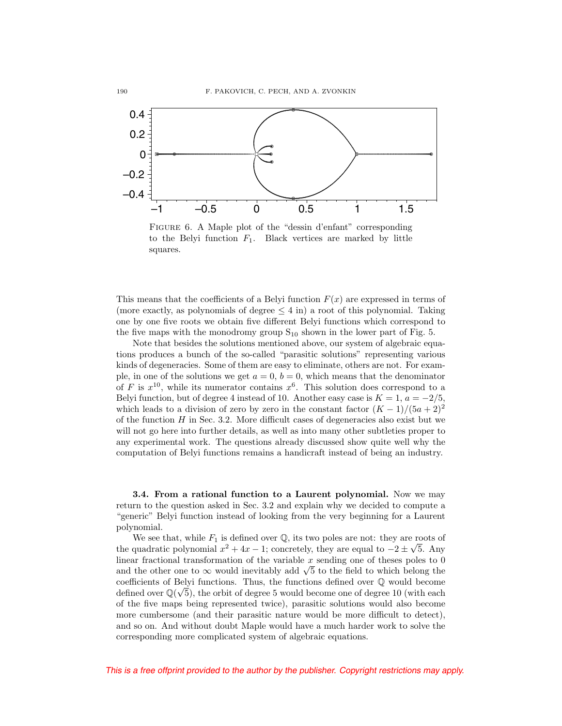

Figure 6. A Maple plot of the "dessin d'enfant" corresponding to the Belyi function  $F_1$ . Black vertices are marked by little squares.

This means that the coefficients of a Belyi function  $F(x)$  are expressed in terms of (more exactly, as polynomials of degree  $\leq 4$  in) a root of this polynomial. Taking one by one five roots we obtain five different Belyi functions which correspond to the five maps with the monodromy group  $S_{10}$  shown in the lower part of Fig. 5.

Note that besides the solutions mentioned above, our system of algebraic equations produces a bunch of the so-called "parasitic solutions" representing various kinds of degeneracies. Some of them are easy to eliminate, others are not. For example, in one of the solutions we get  $a = 0, b = 0$ , which means that the denominator of F is  $x^{10}$ , while its numerator contains  $x^6$ . This solution does correspond to a Belyi function, but of degree 4 instead of 10. Another easy case is  $K = 1$ ,  $a = -2/5$ , which leads to a division of zero by zero in the constant factor  $(K-1)/(5a+2)^2$ of the function  $H$  in Sec. 3.2. More difficult cases of degeneracies also exist but we will not go here into further details, as well as into many other subtleties proper to any experimental work. The questions already discussed show quite well why the computation of Belyi functions remains a handicraft instead of being an industry.

**3.4. From a rational function to a Laurent polynomial.** Now we may return to the question asked in Sec. 3.2 and explain why we decided to compute a "generic" Belyi function instead of looking from the very beginning for a Laurent polynomial.

We see that, while  $F_1$  is defined over  $\mathbb Q$ , its two poles are not: they are roots of the quadratic polynomial  $x^2 + 4x - 1$ ; concretely, they are equal to  $-2 \pm \sqrt{5}$ . Any linear fractional transformation of the variable  $x$  sending one of theses poles to  $0$ and the other one to  $\infty$  would inevitably add  $\sqrt{5}$  to the field to which belong the coefficients of Belyi functions. Thus, the functions defined over Q would become coemcients or Belyi functions. Thus, the functions defined over  $\mathbb{Q}$  would become defined over  $\mathbb{Q}(\sqrt{5})$ , the orbit of degree 5 would become one of degree 10 (with each of the five maps being represented twice), parasitic solutions would also become more cumbersome (and their parasitic nature would be more difficult to detect), and so on. And without doubt Maple would have a much harder work to solve the corresponding more complicated system of algebraic equations.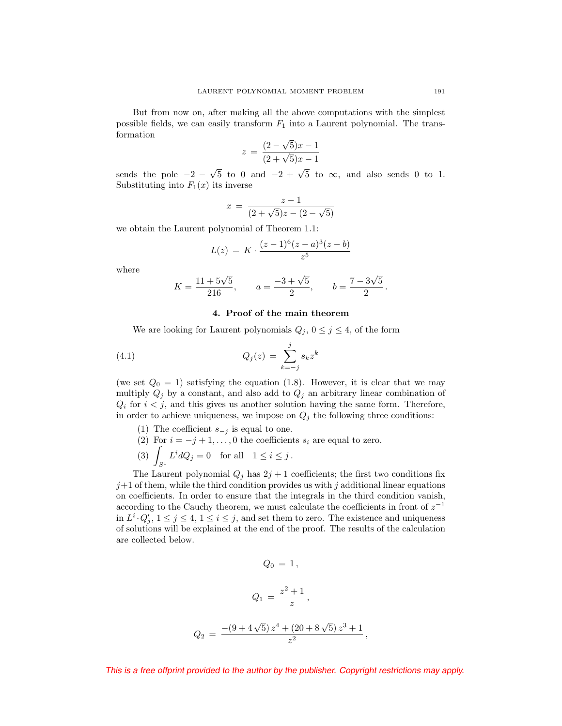But from now on, after making all the above computations with the simplest possible fields, we can easily transform  $F_1$  into a Laurent polynomial. The transformation

$$
z = \frac{(2 - \sqrt{5})x - 1}{(2 + \sqrt{5})x - 1}
$$

sends the pole  $-2 - \sqrt{5}$  to 0 and  $-2 + \sqrt{5}$  to  $\infty$ , and also sends 0 to 1. Substituting into  $F_1(x)$  its inverse

$$
x = \frac{z - 1}{(2 + \sqrt{5})z - (2 - \sqrt{5})}
$$

we obtain the Laurent polynomial of Theorem 1.1:

$$
L(z) = K \cdot \frac{(z-1)^6(z-a)^3(z-b)}{z^5}
$$

where

$$
K = \frac{11 + 5\sqrt{5}}{216}
$$
,  $a = \frac{-3 + \sqrt{5}}{2}$ ,  $b = \frac{7 - 3\sqrt{5}}{2}$ .

### **4. Proof of the main theorem**

We are looking for Laurent polynomials  $Q_j$ ,  $0 \leq j \leq 4$ , of the form

(4.1) 
$$
Q_j(z) = \sum_{k=-j}^{j} s_k z^k
$$

(we set  $Q_0 = 1$ ) satisfying the equation (1.8). However, it is clear that we may multiply  $Q_i$  by a constant, and also add to  $Q_i$  an arbitrary linear combination of  $Q_i$  for  $i < j$ , and this gives us another solution having the same form. Therefore, in order to achieve uniqueness, we impose on  $Q_i$  the following three conditions:

- (1) The coefficient  $s_{-j}$  is equal to one.
- (2) For  $i = -j + 1, \ldots, 0$  the coefficients  $s_i$  are equal to zero.
- $(3)$  $S<sup>1</sup>$  $L^i dQ_j = 0$  for all  $1 \leq i \leq j$ .

The Laurent polynomial  $Q_j$  has  $2j + 1$  coefficients; the first two conditions fix  $j+1$  of them, while the third condition provides us with  $j$  additional linear equations on coefficients. In order to ensure that the integrals in the third condition vanish, according to the Cauchy theorem, we must calculate the coefficients in front of  $z^{-1}$ in  $L^i \cdot Q'_j$ ,  $1 \leq j \leq 4$ ,  $1 \leq i \leq j$ , and set them to zero. The existence and uniqueness of solutions will be explained at the end of the proof. The results of the calculation are collected below.

$$
Q_0 = 1,
$$
  

$$
Q_1 = \frac{z^2 + 1}{z},
$$
  

$$
Q_2 = \frac{-(9 + 4\sqrt{5})z^4 + (20 + 8\sqrt{5})z^3 + 1}{z^2},
$$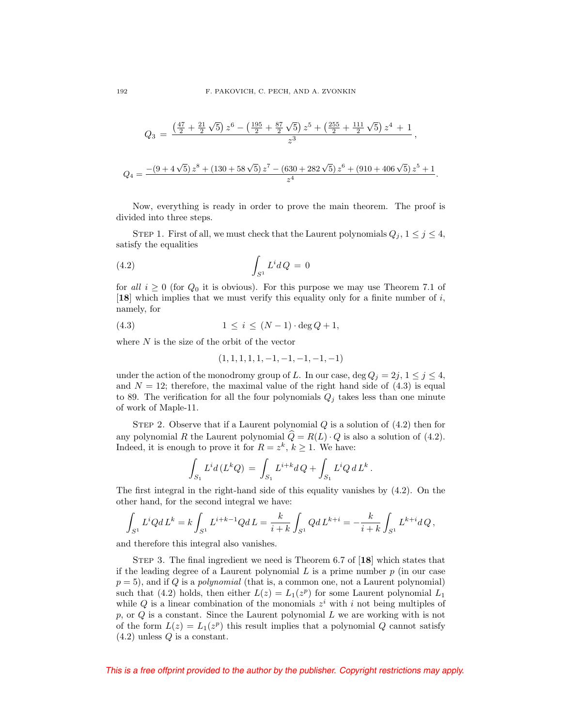$$
Q_3 = \frac{\left(\frac{47}{2} + \frac{21}{2}\sqrt{5}\right)z^6 - \left(\frac{195}{2} + \frac{87}{2}\sqrt{5}\right)z^5 + \left(\frac{255}{2} + \frac{111}{2}\sqrt{5}\right)z^4 + 1}{z^3},
$$
  

$$
Q_4 = \frac{-(9 + 4\sqrt{5})z^8 + (130 + 58\sqrt{5})z^7 - (630 + 282\sqrt{5})z^6 + (910 + 406\sqrt{5})z^5 + 1}{z^4}.
$$

Now, everything is ready in order to prove the main theorem. The proof is divided into three steps.

STEP 1. First of all, we must check that the Laurent polynomials  $Q_i, 1 \leq j \leq 4$ , satisfy the equalities

$$
\int_{S^1} L^i dQ = 0
$$

for all  $i \geq 0$  (for  $Q_0$  it is obvious). For this purpose we may use Theorem 7.1 of [**18**] which implies that we must verify this equality only for a finite number of i, namely, for

(4.3) 
$$
1 \leq i \leq (N-1) \cdot \deg Q + 1,
$$

where  $N$  is the size of the orbit of the vector

$$
(1, 1, 1, 1, 1, -1, -1, -1, -1, -1)
$$

under the action of the monodromy group of L. In our case, deg  $Q_j = 2j, 1 \le j \le 4$ , and  $N = 12$ ; therefore, the maximal value of the right hand side of  $(4.3)$  is equal to 89. The verification for all the four polynomials  $Q_j$  takes less than one minute of work of Maple-11.

STEP 2. Observe that if a Laurent polynomial  $Q$  is a solution of  $(4.2)$  then for any polynomial R the Laurent polynomial  $Q = R(L) \cdot Q$  is also a solution of (4.2). Indeed, it is enough to prove it for  $R = z^k$ ,  $k \ge 1$ . We have:

$$
\int_{S_1} L^i d(L^k Q) = \int_{S_1} L^{i+k} dQ + \int_{S_1} L^i Q dL^k.
$$

The first integral in the right-hand side of this equality vanishes by (4.2). On the other hand, for the second integral we have:

$$
\int_{S^1} L^i Q d\, L^k = k \int_{S^1} L^{i+k-1} Q d\, L = \frac{k}{i+k} \int_{S^1} Q d\, L^{k+i} = - \frac{k}{i+k} \int_{S^1} L^{k+i} d\, Q \, ,
$$

and therefore this integral also vanishes.

Step 3. The final ingredient we need is Theorem 6.7 of [**18**] which states that if the leading degree of a Laurent polynomial  $L$  is a prime number  $p$  (in our case  $p = 5$ , and if Q is a *polynomial* (that is, a common one, not a Laurent polynomial) such that (4.2) holds, then either  $L(z) = L_1(z^p)$  for some Laurent polynomial  $L_1$ while Q is a linear combination of the monomials  $z^i$  with i not being multiples of  $p$ , or  $Q$  is a constant. Since the Laurent polynomial  $L$  we are working with is not of the form  $L(z) = L_1(z^p)$  this result implies that a polynomial Q cannot satisfy  $(4.2)$  unless  $Q$  is a constant.

192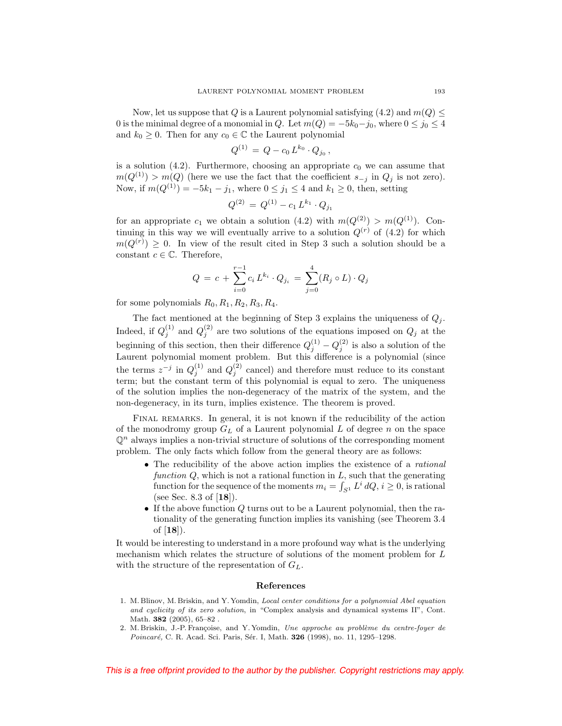Now, let us suppose that Q is a Laurent polynomial satisfying (4.2) and  $m(Q) \leq$ 0 is the minimal degree of a monomial in Q. Let  $m(Q) = -5k_0-j_0$ , where  $0 \le j_0 \le 4$ and  $k_0 \geq 0$ . Then for any  $c_0 \in \mathbb{C}$  the Laurent polynomial

$$
Q^{(1)} = Q - c_0 L^{k_0} \cdot Q_{j_0},
$$

is a solution  $(4.2)$ . Furthermore, choosing an appropriate  $c_0$  we can assume that  $m(Q^{(1)}) > m(Q)$  (here we use the fact that the coefficient  $s_{-j}$  in  $Q_j$  is not zero). Now, if  $m(Q^{(1)}) = -5k_1 - j_1$ , where  $0 \le j_1 \le 4$  and  $k_1 \ge 0$ , then, setting

$$
Q^{(2)} = Q^{(1)} - c_1 L^{k_1} \cdot Q_{j_1}
$$

for an appropriate  $c_1$  we obtain a solution (4.2) with  $m(Q^{(2)}) > m(Q^{(1)})$ . Continuing in this way we will eventually arrive to a solution  $Q^{(r)}$  of (4.2) for which  $m(Q^{(r)}) \geq 0$ . In view of the result cited in Step 3 such a solution should be a constant  $c \in \mathbb{C}$ . Therefore,

$$
Q = c + \sum_{i=0}^{r-1} c_i L^{k_i} \cdot Q_{j_i} = \sum_{j=0}^{4} (R_j \circ L) \cdot Q_j
$$

for some polynomials  $R_0, R_1, R_2, R_3, R_4$ .

The fact mentioned at the beginning of Step 3 explains the uniqueness of  $Q_j$ . Indeed, if  $Q_j^{(1)}$  and  $Q_j^{(2)}$  are two solutions of the equations imposed on  $Q_j$  at the beginning of this section, then their difference  $Q_j^{(1)} - Q_j^{(2)}$  is also a solution of the Laurent polynomial moment problem. But this difference is a polynomial (since the terms  $z^{-j}$  in  $Q_j^{(1)}$  and  $Q_j^{(2)}$  cancel) and therefore must reduce to its constant term; but the constant term of this polynomial is equal to zero. The uniqueness of the solution implies the non-degeneracy of the matrix of the system, and the non-degeneracy, in its turn, implies existence. The theorem is proved.

FINAL REMARKS. In general, it is not known if the reducibility of the action of the monodromy group  $G_L$  of a Laurent polynomial L of degree n on the space  $\mathbb{O}^n$  always implies a non-trivial structure of solutions of the corresponding moment problem. The only facts which follow from the general theory are as follows:

- The reducibility of the above action implies the existence of a *rational* function  $Q$ , which is not a rational function in  $L$ , such that the generating function for the sequence of the moments  $m_i = \int_{S^1} L^i dQ, i \ge 0$ , is rational (see Sec. 8.3 of [**18**]).
- If the above function  $Q$  turns out to be a Laurent polynomial, then the rationality of the generating function implies its vanishing (see Theorem 3.4 of [**18**]).

It would be interesting to understand in a more profound way what is the underlying mechanism which relates the structure of solutions of the moment problem for L with the structure of the representation of  $G_L$ .

#### **References**

- 1. M. Blinov, M. Briskin, and Y. Yomdin, Local center conditions for a polynomial Abel equation and cyclicity of its zero solution, in "Complex analysis and dynamical systems II", Cont. Math. **382** (2005), 65–82 .
- 2. M. Briskin, J.-P. Françoise, and Y. Yomdin, Une approche au problème du centre-foyer de Poincaré, C. R. Acad. Sci. Paris, Sér. I, Math. **326** (1998), no. 11, 1295–1298.